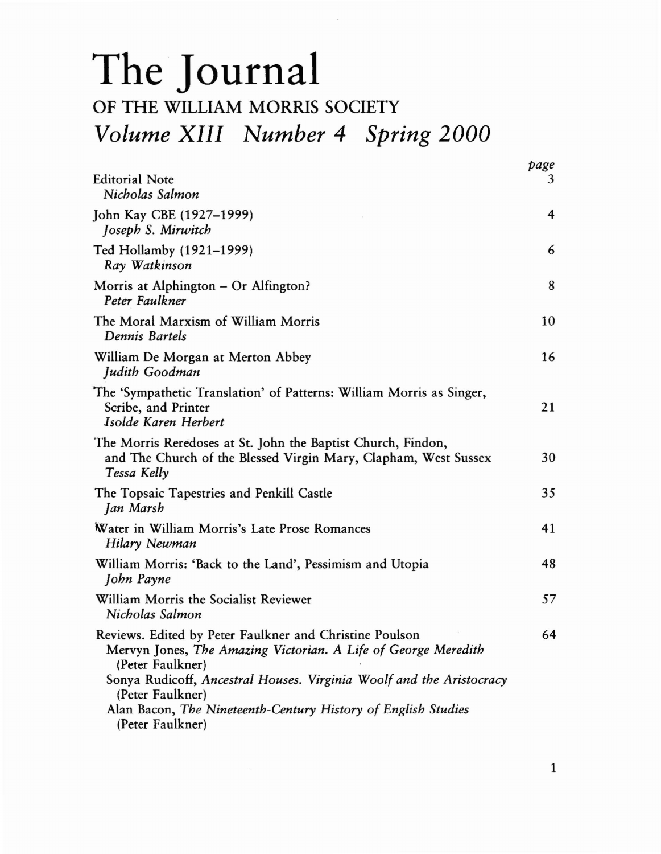## The Journal

## OF THE WILLIAM MORRIS SOCIETY *Volume XIII Number* 4 *Spring 2000*

|                                                                                                                                                                                                                                                                                                                                | page |
|--------------------------------------------------------------------------------------------------------------------------------------------------------------------------------------------------------------------------------------------------------------------------------------------------------------------------------|------|
| <b>Editorial Note</b><br>Nicholas Salmon                                                                                                                                                                                                                                                                                       | 3    |
| John Kay CBE (1927-1999)<br>Joseph S. Mirwitch                                                                                                                                                                                                                                                                                 | 4    |
| Ted Hollamby (1921–1999)<br>Ray Watkinson                                                                                                                                                                                                                                                                                      | 6    |
| Morris at Alphington - Or Alfington?<br>Peter Faulkner                                                                                                                                                                                                                                                                         | 8    |
| The Moral Marxism of William Morris<br>Dennis Bartels                                                                                                                                                                                                                                                                          | 10   |
| William De Morgan at Merton Abbey<br>Judith Goodman                                                                                                                                                                                                                                                                            | 16   |
| The 'Sympathetic Translation' of Patterns: William Morris as Singer,<br>Scribe, and Printer<br>Isolde Karen Herbert                                                                                                                                                                                                            | 21   |
| The Morris Reredoses at St. John the Baptist Church, Findon,<br>and The Church of the Blessed Virgin Mary, Clapham, West Sussex<br>Tessa Kelly                                                                                                                                                                                 | 30   |
| The Topsaic Tapestries and Penkill Castle<br>Jan Marsh                                                                                                                                                                                                                                                                         | 35   |
| Water in William Morris's Late Prose Romances<br>Hilary Newman                                                                                                                                                                                                                                                                 | 41   |
| William Morris: 'Back to the Land', Pessimism and Utopia<br>John Payne                                                                                                                                                                                                                                                         | 48   |
| William Morris the Socialist Reviewer<br>Nicholas Salmon                                                                                                                                                                                                                                                                       | 57   |
| Reviews. Edited by Peter Faulkner and Christine Poulson<br>Mervyn Jones, The Amazing Victorian. A Life of George Meredith<br>(Peter Faulkner)<br>Sonya Rudicoff, Ancestral Houses. Virginia Woolf and the Aristocracy<br>(Peter Faulkner)<br>Alan Bacon, The Nineteenth-Century History of English Studies<br>(Peter Faulkner) | 64   |

1